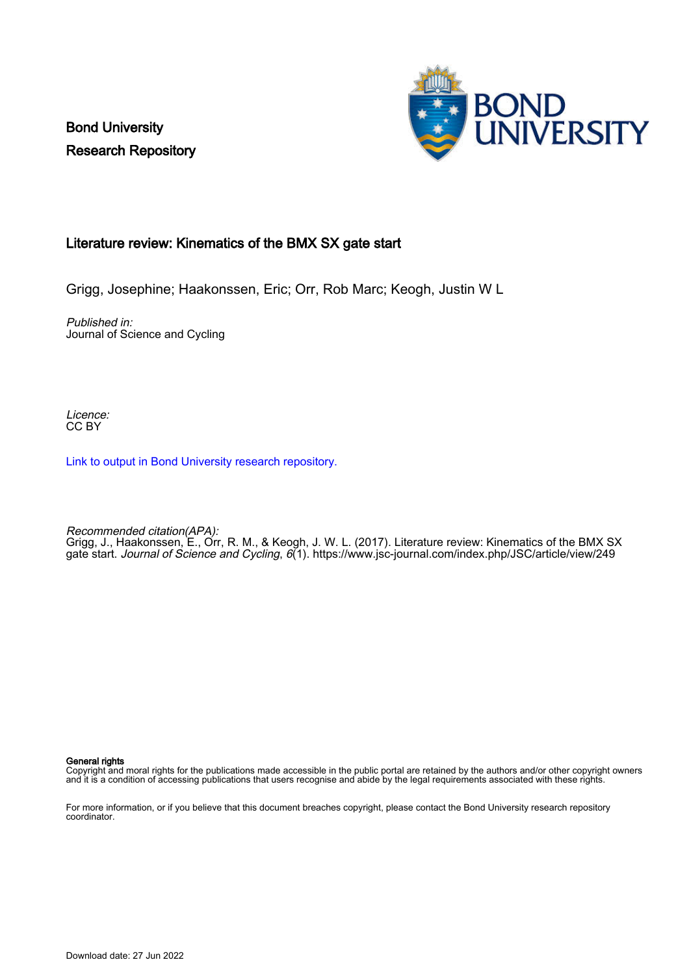Bond University Research Repository



## Literature review: Kinematics of the BMX SX gate start

Grigg, Josephine; Haakonssen, Eric; Orr, Rob Marc; Keogh, Justin W L

Published in: Journal of Science and Cycling

Licence: CC BY

[Link to output in Bond University research repository.](https://research.bond.edu.au/en/publications/5718ae36-7e8d-4f35-bba3-8ab0d2958404)

Recommended citation(APA): Grigg, J., Haakonssen, E., Orr, R. M., & Keogh, J. W. L. (2017). Literature review: Kinematics of the BMX SX gate start. Journal of Science and Cycling, 6(1).<https://www.jsc-journal.com/index.php/JSC/article/view/249>

General rights

Copyright and moral rights for the publications made accessible in the public portal are retained by the authors and/or other copyright owners and it is a condition of accessing publications that users recognise and abide by the legal requirements associated with these rights.

For more information, or if you believe that this document breaches copyright, please contact the Bond University research repository coordinator.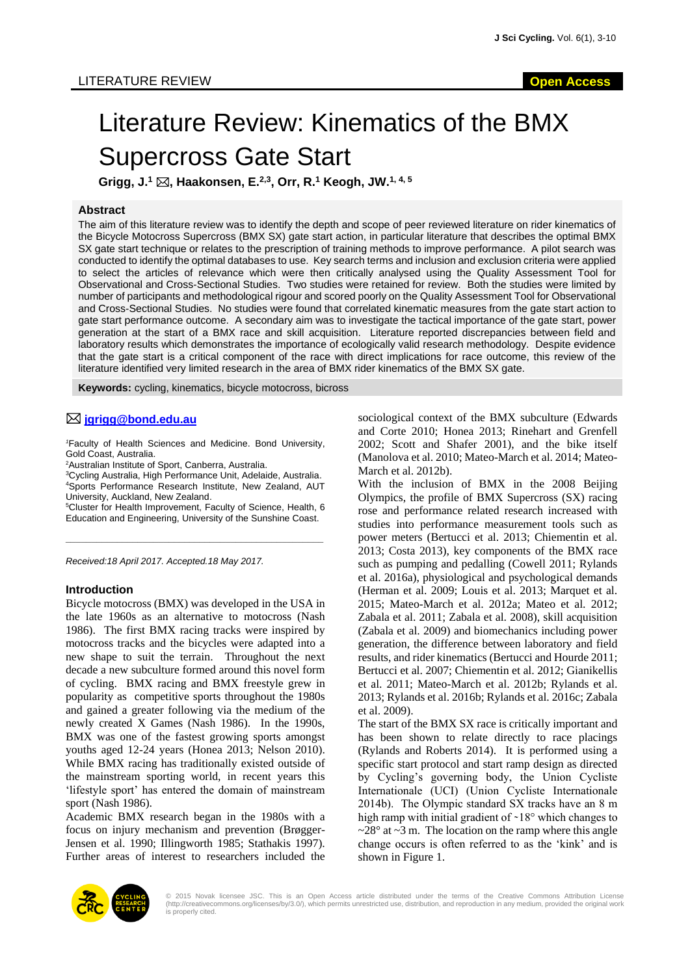# Literature Review: Kinematics of the BMX Supercross Gate Start

**Grigg, J.<sup>1</sup> , Haakonsen, E.2,3, Orr, R.<sup>1</sup> Keogh, JW. 1, 4, 5**

## **Abstract**

The aim of this literature review was to identify the depth and scope of peer reviewed literature on rider kinematics of the Bicycle Motocross Supercross (BMX SX) gate start action, in particular literature that describes the optimal BMX SX gate start technique or relates to the prescription of training methods to improve performance. A pilot search was conducted to identify the optimal databases to use. Key search terms and inclusion and exclusion criteria were applied to select the articles of relevance which were then critically analysed using the Quality Assessment Tool for Observational and Cross-Sectional Studies. Two studies were retained for review. Both the studies were limited by number of participants and methodological rigour and scored poorly on the Quality Assessment Tool for Observational and Cross-Sectional Studies. No studies were found that correlated kinematic measures from the gate start action to gate start performance outcome. A secondary aim was to investigate the tactical importance of the gate start, power generation at the start of a BMX race and skill acquisition. Literature reported discrepancies between field and laboratory results which demonstrates the importance of ecologically valid research methodology. Despite evidence that the gate start is a critical component of the race with direct implications for race outcome, this review of the literature identified very limited research in the area of BMX rider kinematics of the BMX SX gate.

**Keywords:** cycling, kinematics, bicycle motocross, bicross

## **[jgrigg@bond.edu.au](mailto:jgrigg@bond.edu.au)**

*<sup>1</sup>*Faculty of Health Sciences and Medicine. Bond University, Gold Coast, Australia.

<sup>2</sup>Australian Institute of Sport, Canberra, Australia.

<sup>3</sup>Cycling Australia, High Performance Unit, Adelaide, Australia. <sup>4</sup>Sports Performance Research Institute, New Zealand, AUT University, Auckland, New Zealand.

<sup>5</sup>Cluster for Health Improvement, Faculty of Science, Health, 6 Education and Engineering, University of the Sunshine Coast.

\_\_\_\_\_\_\_\_\_\_\_\_\_\_\_\_\_\_\_\_\_\_\_\_\_\_\_\_\_\_\_\_\_\_\_\_\_\_\_\_\_\_\_\_\_\_\_\_\_\_

*Received:18 April 2017. Accepted.18 May 2017.*

## **Introduction**

Bicycle motocross (BMX) was developed in the USA in the late 1960s as an alternative to motocross (Nash 1986). The first BMX racing tracks were inspired by motocross tracks and the bicycles were adapted into a new shape to suit the terrain. Throughout the next decade a new subculture formed around this novel form of cycling. BMX racing and BMX freestyle grew in popularity as competitive sports throughout the 1980s and gained a greater following via the medium of the newly created X Games (Nash 1986). In the 1990s, BMX was one of the fastest growing sports amongst youths aged 12-24 years (Honea 2013; Nelson 2010). While BMX racing has traditionally existed outside of the mainstream sporting world, in recent years this 'lifestyle sport' has entered the domain of mainstream sport (Nash 1986).

Academic BMX research began in the 1980s with a focus on injury mechanism and prevention (Brøgger-Jensen et al. 1990; Illingworth 1985; Stathakis 1997). Further areas of interest to researchers included the sociological context of the BMX subculture (Edwards and Corte 2010; Honea 2013; Rinehart and Grenfell 2002; Scott and Shafer 2001), and the bike itself (Manolova et al. 2010; Mateo-March et al. 2014; Mateo-March et al. 2012b).

With the inclusion of BMX in the 2008 Beijing Olympics, the profile of BMX Supercross (SX) racing rose and performance related research increased with studies into performance measurement tools such as power meters (Bertucci et al. 2013; Chiementin et al. 2013; Costa 2013), key components of the BMX race such as pumping and pedalling (Cowell 2011; Rylands et al. 2016a), physiological and psychological demands (Herman et al. 2009; Louis et al. 2013; Marquet et al. 2015; Mateo-March et al. 2012a; Mateo et al. 2012; Zabala et al. 2011; Zabala et al. 2008), skill acquisition (Zabala et al. 2009) and biomechanics including power generation, the difference between laboratory and field results, and rider kinematics (Bertucci and Hourde 2011; Bertucci et al. 2007; Chiementin et al. 2012; Gianikellis et al. 2011; Mateo-March et al. 2012b; Rylands et al. 2013; Rylands et al. 2016b; Rylands et al. 2016c; Zabala et al. 2009).

The start of the BMX SX race is critically important and has been shown to relate directly to race placings (Rylands and Roberts 2014). It is performed using a specific start protocol and start ramp design as directed by Cycling's governing body, the Union Cycliste Internationale (UCI) (Union Cycliste Internationale 2014b). The Olympic standard SX tracks have an 8 m high ramp with initial gradient of  $~18^{\circ}$  which changes to  $\approx$  28 $\degree$  at  $\sim$ 3 m. The location on the ramp where this angle change occurs is often referred to as the 'kink' and is shown in Figure 1.

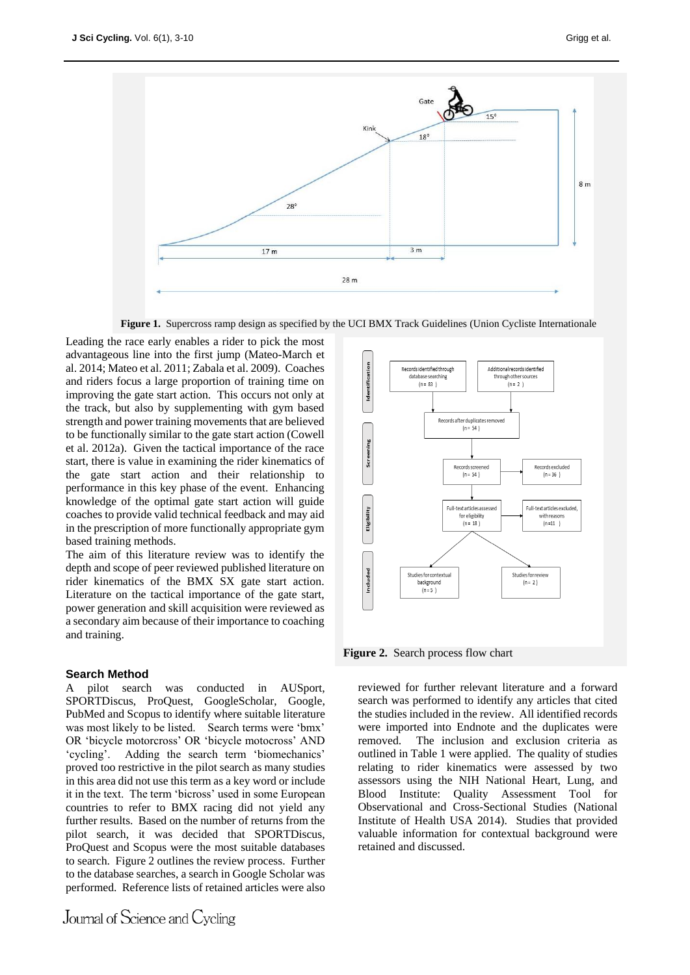

**Figure 1.** Supercross ramp design as specified by the UCI BMX Track Guidelines (Union Cycliste Internationale

Leading the race early enables a rider to pick the most advantageous line into the first jump (Mateo-March et al. 2014; Mateo et al. 2011; Zabala et al. 2009). Coaches and riders focus a large proportion of training time on improving the gate start action. This occurs not only at the track, but also by supplementing with gym based strength and power training movements that are believed to be functionally similar to the gate start action (Cowell et al. 2012a). Given the tactical importance of the race start, there is value in examining the rider kinematics of the gate start action and their relationship to performance in this key phase of the event. Enhancing knowledge of the optimal gate start action will guide coaches to provide valid technical feedback and may aid in the prescription of more functionally appropriate gym based training methods.

The aim of this literature review was to identify the depth and scope of peer reviewed published literature on rider kinematics of the BMX SX gate start action. Literature on the tactical importance of the gate start, power generation and skill acquisition were reviewed as a secondary aim because of their importance to coaching and training.

## **Search Method**

A pilot search was conducted in AUSport, SPORTDiscus, ProQuest, GoogleScholar, Google, PubMed and Scopus to identify where suitable literature was most likely to be listed. Search terms were 'bmx' OR 'bicycle motorcross' OR 'bicycle motocross' AND 'cycling'. Adding the search term 'biomechanics' proved too restrictive in the pilot search as many studies in this area did not use this term as a key word or include it in the text. The term 'bicross' used in some European countries to refer to BMX racing did not yield any further results. Based on the number of returns from the pilot search, it was decided that SPORTDiscus, ProQuest and Scopus were the most suitable databases to search. Figure 2 outlines the review process. Further to the database searches, a search in Google Scholar was performed. Reference lists of retained articles were also



**Figure 2.** Search process flow chart

reviewed for further relevant literature and a forward search was performed to identify any articles that cited the studies included in the review. All identified records were imported into Endnote and the duplicates were removed. The inclusion and exclusion criteria as outlined in Table 1 were applied. The quality of studies relating to rider kinematics were assessed by two assessors using the NIH National Heart, Lung, and Blood Institute: Quality Assessment Tool for Observational and Cross-Sectional Studies (National Institute of Health USA 2014). Studies that provided valuable information for contextual background were retained and discussed.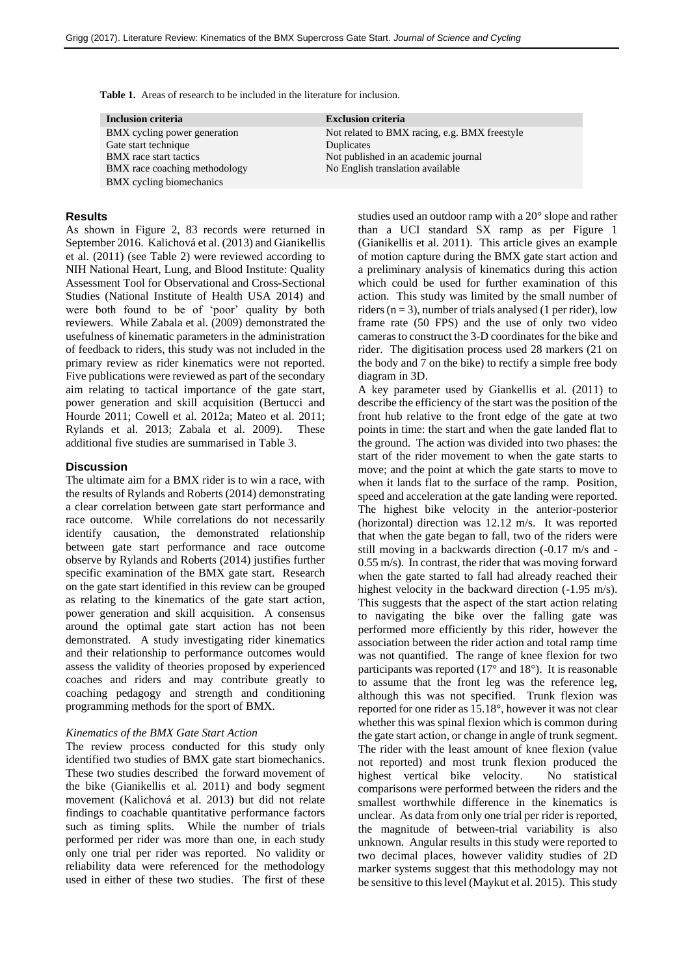**Table 1.** Areas of research to be included in the literature for inclusion.

| Inclusion criteria            | <b>Exclusion criteria</b>                     |
|-------------------------------|-----------------------------------------------|
| BMX cycling power generation  | Not related to BMX racing, e.g. BMX freestyle |
| Gate start technique          | Duplicates                                    |
| <b>BMX</b> race start tactics | Not published in an academic journal          |
| BMX race coaching methodology | No English translation available              |
| BMX cycling biomechanics      |                                               |

#### **Results**

As shown in Figure 2, 83 records were returned in September 2016. Kalichová et al. (2013) and Gianikellis et al. (2011) (see Table 2) were reviewed according to NIH National Heart, Lung, and Blood Institute: Quality Assessment Tool for Observational and Cross-Sectional Studies (National Institute of Health USA 2014) and were both found to be of 'poor' quality by both reviewers. While Zabala et al. (2009) demonstrated the usefulness of kinematic parameters in the administration of feedback to riders, this study was not included in the primary review as rider kinematics were not reported. Five publications were reviewed as part of the secondary aim relating to tactical importance of the gate start, power generation and skill acquisition (Bertucci and Hourde 2011; Cowell et al. 2012a; Mateo et al. 2011; Rylands et al. 2013; Zabala et al. 2009). These additional five studies are summarised in Table 3.

## **Discussion**

The ultimate aim for a BMX rider is to win a race, with the results of Rylands and Roberts (2014) demonstrating a clear correlation between gate start performance and race outcome. While correlations do not necessarily identify causation, the demonstrated relationship between gate start performance and race outcome observe by Rylands and Roberts (2014) justifies further specific examination of the BMX gate start. Research on the gate start identified in this review can be grouped as relating to the kinematics of the gate start action, power generation and skill acquisition. A consensus around the optimal gate start action has not been demonstrated. A study investigating rider kinematics and their relationship to performance outcomes would assess the validity of theories proposed by experienced coaches and riders and may contribute greatly to coaching pedagogy and strength and conditioning programming methods for the sport of BMX.

## *Kinematics of the BMX Gate Start Action*

The review process conducted for this study only identified two studies of BMX gate start biomechanics. These two studies described the forward movement of the bike (Gianikellis et al. 2011) and body segment movement (Kalichová et al. 2013) but did not relate findings to coachable quantitative performance factors such as timing splits. While the number of trials performed per rider was more than one, in each study only one trial per rider was reported. No validity or reliability data were referenced for the methodology used in either of these two studies. The first of these

studies used an outdoor ramp with a 20° slope and rather than a UCI standard SX ramp as per Figure 1 (Gianikellis et al. 2011). This article gives an example of motion capture during the BMX gate start action and a preliminary analysis of kinematics during this action which could be used for further examination of this action. This study was limited by the small number of riders ( $n = 3$ ), number of trials analysed (1 per rider), low frame rate (50 FPS) and the use of only two video cameras to construct the 3-D coordinates for the bike and rider. The digitisation process used 28 markers (21 on the body and 7 on the bike) to rectify a simple free body diagram in 3D.

A key parameter used by Giankellis et al. (2011) to describe the efficiency of the start was the position of the front hub relative to the front edge of the gate at two points in time: the start and when the gate landed flat to the ground. The action was divided into two phases: the start of the rider movement to when the gate starts to move; and the point at which the gate starts to move to when it lands flat to the surface of the ramp. Position, speed and acceleration at the gate landing were reported. The highest bike velocity in the anterior-posterior (horizontal) direction was 12.12 m/s. It was reported that when the gate began to fall, two of the riders were still moving in a backwards direction (-0.17 m/s and - 0.55 m/s). In contrast, the rider that was moving forward when the gate started to fall had already reached their highest velocity in the backward direction  $(-1.95 \text{ m/s})$ . This suggests that the aspect of the start action relating to navigating the bike over the falling gate was performed more efficiently by this rider, however the association between the rider action and total ramp time was not quantified. The range of knee flexion for two participants was reported (17° and 18°). It is reasonable to assume that the front leg was the reference leg, although this was not specified. Trunk flexion was reported for one rider as 15.18°, however it was not clear whether this was spinal flexion which is common during the gate start action, or change in angle of trunk segment. The rider with the least amount of knee flexion (value not reported) and most trunk flexion produced the highest vertical bike velocity. No statistical comparisons were performed between the riders and the smallest worthwhile difference in the kinematics is unclear. As data from only one trial per rider is reported, the magnitude of between-trial variability is also unknown. Angular results in this study were reported to two decimal places, however validity studies of 2D marker systems suggest that this methodology may not be sensitive to this level (Maykut et al. 2015). This study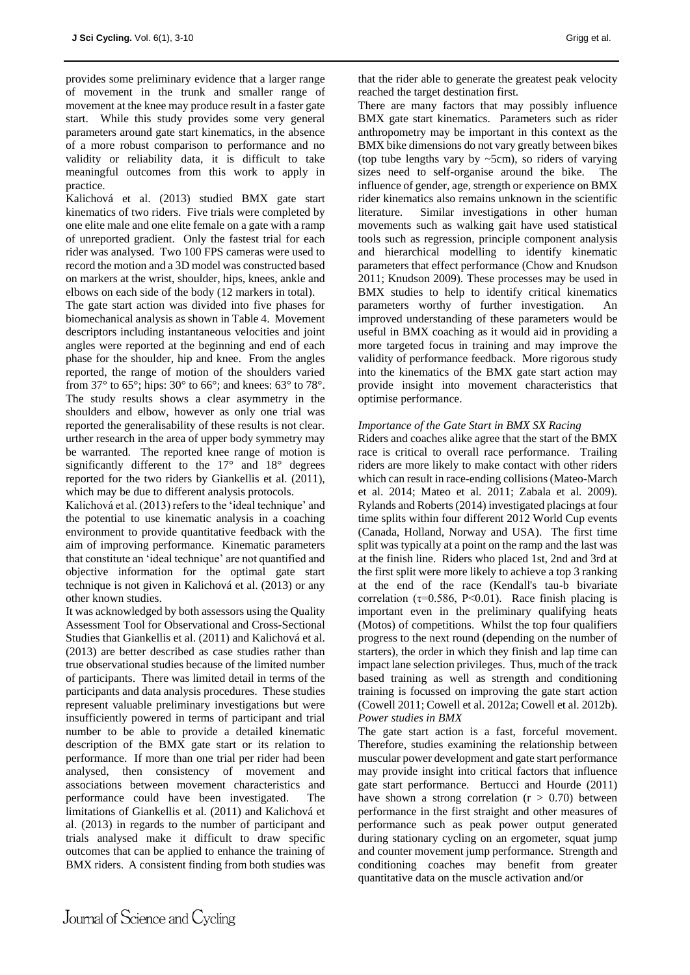provides some preliminary evidence that a larger range of movement in the trunk and smaller range of movement at the knee may produce result in a faster gate start. While this study provides some very general parameters around gate start kinematics, in the absence of a more robust comparison to performance and no validity or reliability data, it is difficult to take meaningful outcomes from this work to apply in practice.

Kalichová et al. (2013) studied BMX gate start kinematics of two riders. Five trials were completed by one elite male and one elite female on a gate with a ramp of unreported gradient. Only the fastest trial for each rider was analysed. Two 100 FPS cameras were used to record the motion and a 3D model was constructed based on markers at the wrist, shoulder, hips, knees, ankle and elbows on each side of the body (12 markers in total).

The gate start action was divided into five phases for biomechanical analysis as shown in Table 4. Movement descriptors including instantaneous velocities and joint angles were reported at the beginning and end of each phase for the shoulder, hip and knee. From the angles reported, the range of motion of the shoulders varied from 37 $\degree$  to 65 $\degree$ ; hips: 30 $\degree$  to 66 $\degree$ ; and knees: 63 $\degree$  to 78 $\degree$ . The study results shows a clear asymmetry in the shoulders and elbow, however as only one trial was reported the generalisability of these results is not clear. urther research in the area of upper body symmetry may be warranted. The reported knee range of motion is significantly different to the  $17^{\circ}$  and  $18^{\circ}$  degrees reported for the two riders by Giankellis et al. (2011), which may be due to different analysis protocols.

Kalichová et al. (2013) refers to the 'ideal technique' and the potential to use kinematic analysis in a coaching environment to provide quantitative feedback with the aim of improving performance. Kinematic parameters that constitute an 'ideal technique' are not quantified and objective information for the optimal gate start technique is not given in Kalichová et al. (2013) or any other known studies.

It was acknowledged by both assessors using the Quality Assessment Tool for Observational and Cross-Sectional Studies that Giankellis et al. (2011) and Kalichová et al. (2013) are better described as case studies rather than true observational studies because of the limited number of participants. There was limited detail in terms of the participants and data analysis procedures. These studies represent valuable preliminary investigations but were insufficiently powered in terms of participant and trial number to be able to provide a detailed kinematic description of the BMX gate start or its relation to performance. If more than one trial per rider had been analysed, then consistency of movement and associations between movement characteristics and performance could have been investigated. The limitations of Giankellis et al. (2011) and Kalichová et al. (2013) in regards to the number of participant and trials analysed make it difficult to draw specific outcomes that can be applied to enhance the training of BMX riders. A consistent finding from both studies was

that the rider able to generate the greatest peak velocity reached the target destination first.

There are many factors that may possibly influence BMX gate start kinematics. Parameters such as rider anthropometry may be important in this context as the BMX bike dimensions do not vary greatly between bikes (top tube lengths vary by  $\sim$ 5cm), so riders of varying sizes need to self-organise around the bike. The influence of gender, age, strength or experience on BMX rider kinematics also remains unknown in the scientific literature. Similar investigations in other human movements such as walking gait have used statistical tools such as regression, principle component analysis and hierarchical modelling to identify kinematic parameters that effect performance (Chow and Knudson 2011; Knudson 2009). These processes may be used in BMX studies to help to identify critical kinematics parameters worthy of further investigation. An improved understanding of these parameters would be useful in BMX coaching as it would aid in providing a more targeted focus in training and may improve the validity of performance feedback. More rigorous study into the kinematics of the BMX gate start action may provide insight into movement characteristics that optimise performance.

## *Importance of the Gate Start in BMX SX Racing*

Riders and coaches alike agree that the start of the BMX race is critical to overall race performance. Trailing riders are more likely to make contact with other riders which can result in race-ending collisions (Mateo-March et al. 2014; Mateo et al. 2011; Zabala et al. 2009). Rylands and Roberts (2014) investigated placings at four time splits within four different 2012 World Cup events (Canada, Holland, Norway and USA). The first time split was typically at a point on the ramp and the last was at the finish line. Riders who placed 1st, 2nd and 3rd at the first split were more likely to achieve a top 3 ranking at the end of the race (Kendall's tau-b bivariate correlation ( $\tau$ =0.586, P<0.01). Race finish placing is important even in the preliminary qualifying heats (Motos) of competitions. Whilst the top four qualifiers progress to the next round (depending on the number of starters), the order in which they finish and lap time can impact lane selection privileges. Thus, much of the track based training as well as strength and conditioning training is focussed on improving the gate start action (Cowell 2011; Cowell et al. 2012a; Cowell et al. 2012b). *Power studies in BMX*

The gate start action is a fast, forceful movement. Therefore, studies examining the relationship between muscular power development and gate start performance may provide insight into critical factors that influence gate start performance. Bertucci and Hourde (2011) have shown a strong correlation  $(r > 0.70)$  between performance in the first straight and other measures of performance such as peak power output generated during stationary cycling on an ergometer, squat jump and counter movement jump performance. Strength and conditioning coaches may benefit from greater quantitative data on the muscle activation and/or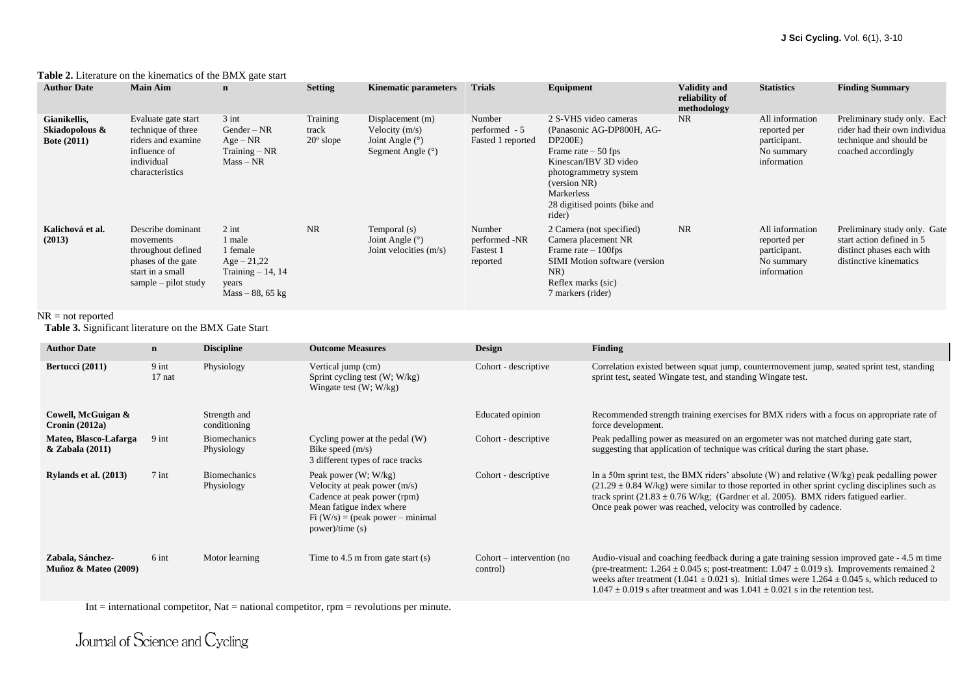| <b>Author Date</b>                                   | <b>Main Aim</b>                                                                                                        | $\mathbf n$                                                                                          | <b>Setting</b>                          | <b>Kinematic parameters</b>                                                      | <b>Trials</b>                                    | Equipment                                                                                                                                                                                                        | <b>Validity and</b><br>reliability of<br>methodology | <b>Statistics</b>                                                            | <b>Finding Summary</b>                                                                                           |
|------------------------------------------------------|------------------------------------------------------------------------------------------------------------------------|------------------------------------------------------------------------------------------------------|-----------------------------------------|----------------------------------------------------------------------------------|--------------------------------------------------|------------------------------------------------------------------------------------------------------------------------------------------------------------------------------------------------------------------|------------------------------------------------------|------------------------------------------------------------------------------|------------------------------------------------------------------------------------------------------------------|
| Gianikellis,<br>Skiadopolous &<br><b>Bote (2011)</b> | Evaluate gate start<br>technique of three<br>riders and examine<br>influence of<br>individual<br>characteristics       | $3$ int<br>$Gender - NR$<br>$Age - NR$<br>$Training - NR$<br>$Mass - NR$                             | Training<br>track<br>$20^{\circ}$ slope | Displacement (m)<br>Velocity $(m/s)$<br>Joint Angle $(°)$<br>Segment Angle $(°)$ | Number<br>performed - 5<br>Fasted 1 reported     | 2 S-VHS video cameras<br>(Panasonic AG-DP800H, AG-<br>DP200E)<br>Frame rate $-50$ fps<br>Kinescan/IBV 3D video<br>photogrammetry system<br>(version NR)<br>Markerless<br>28 digitised points (bike and<br>rider) | NR.                                                  | All information<br>reported per<br>participant.<br>No summary<br>information | Preliminary study only. Each<br>rider had their own individual<br>technique and should be<br>coached accordingly |
| Kalichová et al.<br>(2013)                           | Describe dominant<br>movements<br>throughout defined<br>phases of the gate<br>start in a small<br>sample – pilot study | $2$ int<br>1 male<br>1 female<br>$Age - 21,22$<br>Training $-14$ , 14<br>years<br>$Mass - 88, 65$ kg | <b>NR</b>                               | Temporal (s)<br>Joint Angle $(°)$<br>Joint velocities $(m/s)$                    | Number<br>performed -NR<br>Fastest 1<br>reported | 2 Camera (not specified)<br>Camera placement NR<br>Frame rate $-100$ fps<br><b>SIMI</b> Motion software (version<br>NR)<br>Reflex marks (sic)<br>7 markers (rider)                                               | NR                                                   | All information<br>reported per<br>participant.<br>No summary<br>information | Preliminary study only. Gate<br>start action defined in 5<br>distinct phases each with<br>distinctive kinematics |

#### **Table 2.** Literature on the kinematics of the BMX gate start

#### NR = not reported

**Table 3.** Significant literature on the BMX Gate Start

| <b>Author Date</b>                         | $\mathbf n$         | <b>Discipline</b>                 | <b>Outcome Measures</b>                                                                                                                                                    | <b>Design</b>                           | <b>Finding</b>                                                                                                                                                                                                                                                                                                                                                                                        |
|--------------------------------------------|---------------------|-----------------------------------|----------------------------------------------------------------------------------------------------------------------------------------------------------------------------|-----------------------------------------|-------------------------------------------------------------------------------------------------------------------------------------------------------------------------------------------------------------------------------------------------------------------------------------------------------------------------------------------------------------------------------------------------------|
| Bertucci (2011)                            | $9$ int<br>$17$ nat | Physiology                        | Vertical jump (cm)<br>Sprint cycling test $(W; W/kg)$<br>Wingate test $(W; W/kg)$                                                                                          | Cohort - descriptive                    | Correlation existed between squat jump, countermovement jump, seated sprint test, standing<br>sprint test, seated Wingate test, and standing Wingate test.                                                                                                                                                                                                                                            |
| Cowell, McGuigan &<br>Cronin $(2012a)$     |                     | Strength and<br>conditioning      |                                                                                                                                                                            | Educated opinion                        | Recommended strength training exercises for BMX riders with a focus on appropriate rate of<br>force development.                                                                                                                                                                                                                                                                                      |
| Mateo, Blasco-Lafarga<br>& Zabala (2011)   | 9 int               | <b>Biomechanics</b><br>Physiology | Cycling power at the pedal (W)<br>Bike speed $(m/s)$<br>3 different types of race tracks                                                                                   | Cohort - descriptive                    | Peak pedalling power as measured on an ergometer was not matched during gate start,<br>suggesting that application of technique was critical during the start phase.                                                                                                                                                                                                                                  |
| Rylands et al. (2013)                      | $7$ int             | <b>Biomechanics</b><br>Physiology | Peak power $(W; W/kg)$<br>Velocity at peak power (m/s)<br>Cadence at peak power (rpm)<br>Mean fatigue index where<br>$Fi (W/s) = (peak power - minimal$<br>power)/time (s) | Cohort - descriptive                    | In a 50m sprint test, the BMX riders' absolute $(W)$ and relative $(W/kg)$ peak pedalling power<br>$(21.29 \pm 0.84 \text{ W/kg})$ were similar to those reported in other sprint cycling disciplines such as<br>track sprint $(21.83 \pm 0.76 \text{ W/kg})$ ; (Gardner et al. 2005). BMX riders fatigued earlier.<br>Once peak power was reached, velocity was controlled by cadence.               |
| Zabala, Sánchez-<br>Muñoz & Mateo $(2009)$ | 6 int               | Motor learning                    | Time to $4.5$ m from gate start $(s)$                                                                                                                                      | $Cohort$ – intervention (no<br>control) | Audio-visual and coaching feedback during a gate training session improved gate - 4.5 m time<br>(pre-treatment: $1.264 \pm 0.045$ s; post-treatment: $1.047 \pm 0.019$ s). Improvements remained 2<br>weeks after treatment (1.041 $\pm$ 0.021 s). Initial times were 1.264 $\pm$ 0.045 s, which reduced to<br>$1.047 \pm 0.019$ s after treatment and was $1.041 \pm 0.021$ s in the retention test. |

Int  $=$  international competitor, Nat  $=$  national competitor, rpm  $=$  revolutions per minute.

Journal of Science and Cycling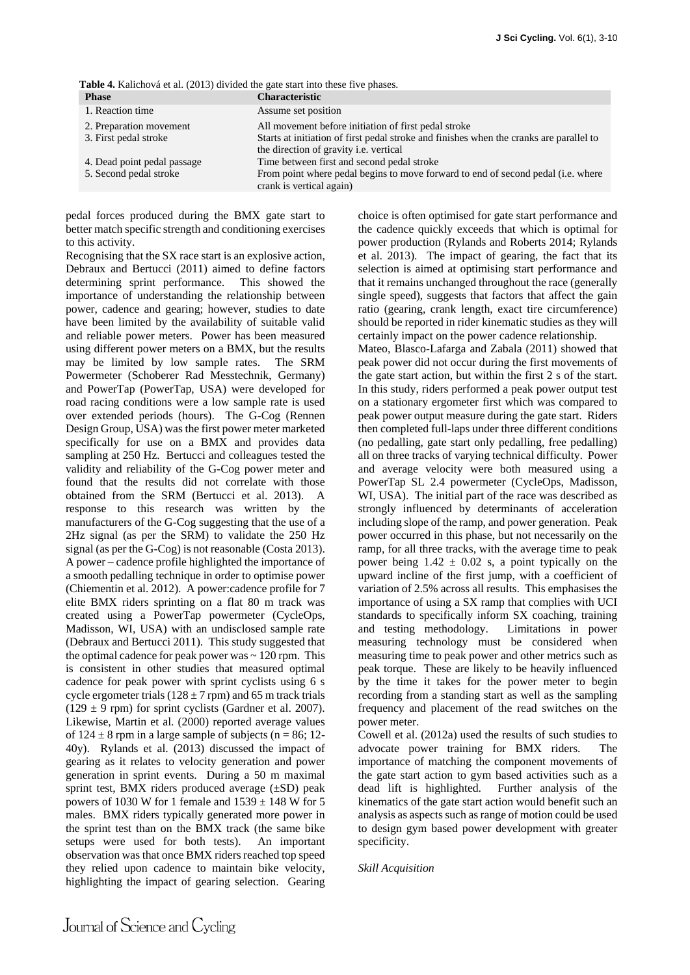**Table 4.** Kalichová et al. (2013) divided the gate start into these five phases.

| <b>Phase</b>                | <b>Characteristic</b>                                                                   |
|-----------------------------|-----------------------------------------------------------------------------------------|
| 1. Reaction time            | Assume set position                                                                     |
| 2. Preparation movement     | All movement before initiation of first pedal stroke                                    |
| 3. First pedal stroke       | Starts at initiation of first pedal stroke and finishes when the cranks are parallel to |
|                             | the direction of gravity <i>i.e.</i> vertical                                           |
| 4. Dead point pedal passage | Time between first and second pedal stroke                                              |
| 5. Second pedal stroke      | From point where pedal begins to move forward to end of second pedal (i.e. where        |
|                             | crank is vertical again)                                                                |

pedal forces produced during the BMX gate start to better match specific strength and conditioning exercises to this activity.

Recognising that the SX race start is an explosive action, Debraux and Bertucci (2011) aimed to define factors determining sprint performance. This showed the importance of understanding the relationship between power, cadence and gearing; however, studies to date have been limited by the availability of suitable valid and reliable power meters. Power has been measured using different power meters on a BMX, but the results may be limited by low sample rates. The SRM Powermeter (Schoberer Rad Messtechnik, Germany) and PowerTap (PowerTap, USA) were developed for road racing conditions were a low sample rate is used over extended periods (hours). The G-Cog (Rennen Design Group, USA) was the first power meter marketed specifically for use on a BMX and provides data sampling at 250 Hz. Bertucci and colleagues tested the validity and reliability of the G-Cog power meter and found that the results did not correlate with those obtained from the SRM (Bertucci et al. 2013). A response to this research was written by the manufacturers of the G-Cog suggesting that the use of a 2Hz signal (as per the SRM) to validate the 250 Hz signal (as per the G-Cog) is not reasonable (Costa 2013). A power – cadence profile highlighted the importance of a smooth pedalling technique in order to optimise power (Chiementin et al. 2012). A power:cadence profile for 7 elite BMX riders sprinting on a flat 80 m track was created using a PowerTap powermeter (CycleOps, Madisson, WI, USA) with an undisclosed sample rate (Debraux and Bertucci 2011). This study suggested that the optimal cadence for peak power was  $\sim 120$  rpm. This is consistent in other studies that measured optimal cadence for peak power with sprint cyclists using 6 s cycle ergometer trials ( $128 \pm 7$  rpm) and 65 m track trials  $(129 \pm 9$  rpm) for sprint cyclists (Gardner et al. 2007). Likewise, Martin et al. (2000) reported average values of  $124 \pm 8$  rpm in a large sample of subjects (n = 86; 12-40y). Rylands et al. (2013) discussed the impact of gearing as it relates to velocity generation and power generation in sprint events. During a 50 m maximal sprint test, BMX riders produced average (±SD) peak powers of 1030 W for 1 female and  $1539 \pm 148$  W for 5 males. BMX riders typically generated more power in the sprint test than on the BMX track (the same bike setups were used for both tests). An important observation was that once BMX riders reached top speed they relied upon cadence to maintain bike velocity, highlighting the impact of gearing selection. Gearing choice is often optimised for gate start performance and the cadence quickly exceeds that which is optimal for power production (Rylands and Roberts 2014; Rylands et al. 2013). The impact of gearing, the fact that its selection is aimed at optimising start performance and that it remains unchanged throughout the race (generally single speed), suggests that factors that affect the gain ratio (gearing, crank length, exact tire circumference) should be reported in rider kinematic studies as they will certainly impact on the power cadence relationship.

Mateo, Blasco-Lafarga and Zabala (2011) showed that peak power did not occur during the first movements of the gate start action, but within the first 2 s of the start. In this study, riders performed a peak power output test on a stationary ergometer first which was compared to peak power output measure during the gate start. Riders then completed full-laps under three different conditions (no pedalling, gate start only pedalling, free pedalling) all on three tracks of varying technical difficulty. Power and average velocity were both measured using a PowerTap SL 2.4 powermeter (CycleOps, Madisson, WI, USA). The initial part of the race was described as strongly influenced by determinants of acceleration including slope of the ramp, and power generation. Peak power occurred in this phase, but not necessarily on the ramp, for all three tracks, with the average time to peak power being  $1.42 \pm 0.02$  s, a point typically on the upward incline of the first jump, with a coefficient of variation of 2.5% across all results. This emphasises the importance of using a SX ramp that complies with UCI standards to specifically inform SX coaching, training and testing methodology. Limitations in power measuring technology must be considered when measuring time to peak power and other metrics such as peak torque. These are likely to be heavily influenced by the time it takes for the power meter to begin recording from a standing start as well as the sampling frequency and placement of the read switches on the power meter.

Cowell et al. (2012a) used the results of such studies to advocate power training for BMX riders. The importance of matching the component movements of the gate start action to gym based activities such as a dead lift is highlighted. Further analysis of the kinematics of the gate start action would benefit such an analysis as aspects such as range of motion could be used to design gym based power development with greater specificity.

### *Skill Acquisition*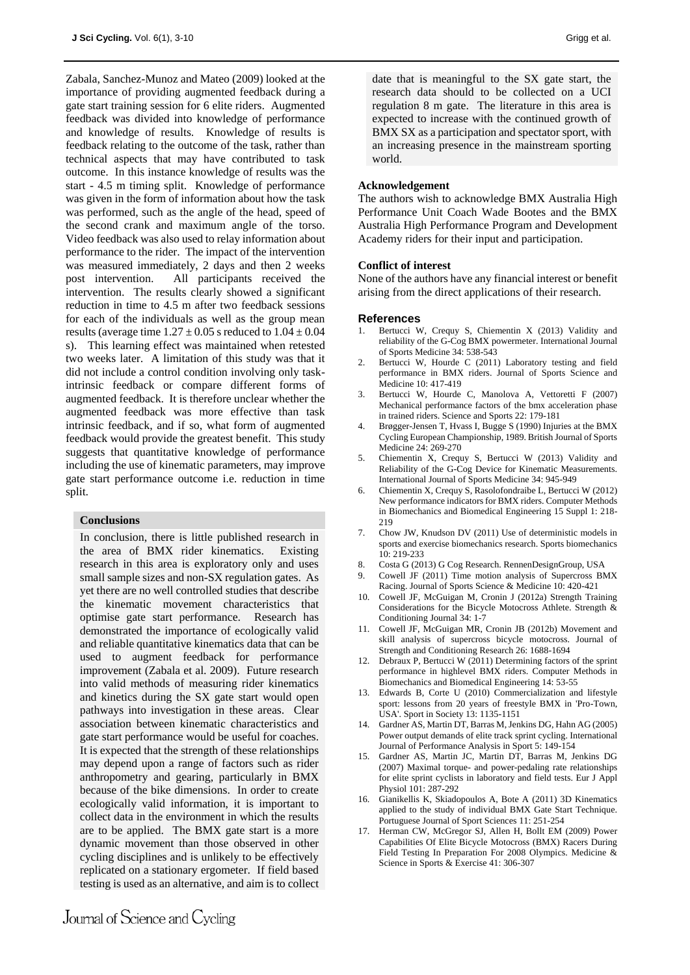Zabala, Sanchez-Munoz and Mateo (2009) looked at the importance of providing augmented feedback during a gate start training session for 6 elite riders. Augmented feedback was divided into knowledge of performance and knowledge of results. Knowledge of results is feedback relating to the outcome of the task, rather than technical aspects that may have contributed to task outcome. In this instance knowledge of results was the start - 4.5 m timing split. Knowledge of performance was given in the form of information about how the task was performed, such as the angle of the head, speed of the second crank and maximum angle of the torso. Video feedback was also used to relay information about performance to the rider. The impact of the intervention was measured immediately, 2 days and then 2 weeks post intervention. All participants received the intervention. The results clearly showed a significant reduction in time to 4.5 m after two feedback sessions for each of the individuals as well as the group mean results (average time  $1.27 \pm 0.05$  s reduced to  $1.04 \pm 0.04$ s). This learning effect was maintained when retested two weeks later. A limitation of this study was that it did not include a control condition involving only taskintrinsic feedback or compare different forms of augmented feedback. It is therefore unclear whether the augmented feedback was more effective than task intrinsic feedback, and if so, what form of augmented feedback would provide the greatest benefit. This study suggests that quantitative knowledge of performance including the use of kinematic parameters, may improve gate start performance outcome i.e. reduction in time split.

## **Conclusions**

In conclusion, there is little published research in the area of BMX rider kinematics. Existing research in this area is exploratory only and uses small sample sizes and non-SX regulation gates. As yet there are no well controlled studies that describe the kinematic movement characteristics that optimise gate start performance. Research has demonstrated the importance of ecologically valid and reliable quantitative kinematics data that can be used to augment feedback for performance improvement (Zabala et al. 2009). Future research into valid methods of measuring rider kinematics and kinetics during the SX gate start would open pathways into investigation in these areas. Clear association between kinematic characteristics and gate start performance would be useful for coaches. It is expected that the strength of these relationships may depend upon a range of factors such as rider anthropometry and gearing, particularly in BMX because of the bike dimensions. In order to create ecologically valid information, it is important to collect data in the environment in which the results are to be applied. The BMX gate start is a more dynamic movement than those observed in other cycling disciplines and is unlikely to be effectively replicated on a stationary ergometer. If field based testing is used as an alternative, and aim is to collect

date that is meaningful to the SX gate start, the research data should to be collected on a UCI regulation 8 m gate. The literature in this area is expected to increase with the continued growth of BMX SX as a participation and spectator sport, with an increasing presence in the mainstream sporting world.

## **Acknowledgement**

The authors wish to acknowledge BMX Australia High Performance Unit Coach Wade Bootes and the BMX Australia High Performance Program and Development Academy riders for their input and participation.

#### **Conflict of interest**

None of the authors have any financial interest or benefit arising from the direct applications of their research.

#### **References**

- 1. Bertucci W, Crequy S, Chiementin X (2013) Validity and reliability of the G-Cog BMX powermeter. International Journal of Sports Medicine 34: 538-543
- 2. Bertucci W, Hourde C (2011) Laboratory testing and field performance in BMX riders. Journal of Sports Science and Medicine 10: 417-419
- 3. Bertucci W, Hourde C, Manolova A, Vettoretti F (2007) Mechanical performance factors of the bmx acceleration phase in trained riders. Science and Sports 22: 179-181
- 4. Brøgger-Jensen T, Hvass I, Bugge S (1990) Injuries at the BMX Cycling European Championship, 1989. British Journal of Sports Medicine 24: 269-270
- 5. Chiementin X, Crequy S, Bertucci W (2013) Validity and Reliability of the G-Cog Device for Kinematic Measurements. International Journal of Sports Medicine 34: 945-949
- 6. Chiementin X, Crequy S, Rasolofondraibe L, Bertucci W (2012) New performance indicators for BMX riders. Computer Methods in Biomechanics and Biomedical Engineering 15 Suppl 1: 218- 219
- 7. Chow JW, Knudson DV (2011) Use of deterministic models in sports and exercise biomechanics research. Sports biomechanics  $10.219 - 233$
- 8. Costa G (2013) G Cog Research. RennenDesignGroup, USA
- 9. Cowell JF (2011) Time motion analysis of Supercross BMX Racing. Journal of Sports Science & Medicine 10: 420-421
- 10. Cowell JF, McGuigan M, Cronin J (2012a) Strength Training Considerations for the Bicycle Motocross Athlete. Strength & Conditioning Journal 34: 1-7
- 11. Cowell JF, McGuigan MR, Cronin JB (2012b) Movement and skill analysis of supercross bicycle motocross. Journal of Strength and Conditioning Research 26: 1688-1694
- 12. Debraux P, Bertucci W (2011) Determining factors of the sprint performance in highlevel BMX riders. Computer Methods in Biomechanics and Biomedical Engineering 14: 53-55
- 13. Edwards B, Corte U (2010) Commercialization and lifestyle sport: lessons from 20 years of freestyle BMX in 'Pro-Town, USA'. Sport in Society 13: 1135-1151
- 14. Gardner AS, Martin DT, Barras M, Jenkins DG, Hahn AG (2005) Power output demands of elite track sprint cycling. International Journal of Performance Analysis in Sport 5: 149-154
- 15. Gardner AS, Martin JC, Martin DT, Barras M, Jenkins DG (2007) Maximal torque- and power-pedaling rate relationships for elite sprint cyclists in laboratory and field tests. Eur J Appl Physiol 101: 287-292
- 16. Gianikellis K, Skiadopoulos A, Bote A (2011) 3D Kinematics applied to the study of individual BMX Gate Start Technique. Portuguese Journal of Sport Sciences 11: 251-254
- 17. Herman CW, McGregor SJ, Allen H, Bollt EM (2009) Power Capabilities Of Elite Bicycle Motocross (BMX) Racers During Field Testing In Preparation For 2008 Olympics. Medicine & Science in Sports & Exercise 41: 306-307